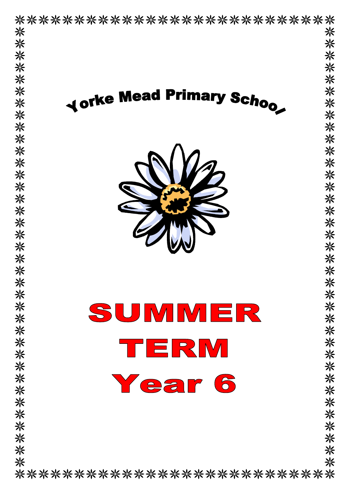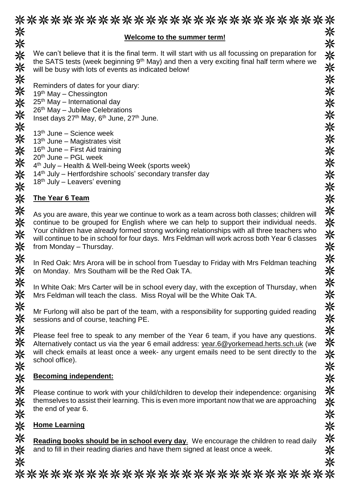| <b>Welcome to the summer term!</b>                                                                                                                                                 |
|------------------------------------------------------------------------------------------------------------------------------------------------------------------------------------|
|                                                                                                                                                                                    |
| We can't believe that it is the final term. It will start with us all focussing on preparation for                                                                                 |
| the SATS tests (week beginning 9 <sup>th</sup> May) and then a very exciting final half term where we                                                                              |
| will be busy with lots of events as indicated below!                                                                                                                               |
| Reminders of dates for your diary:                                                                                                                                                 |
| $19th$ May – Chessington                                                                                                                                                           |
| 25 <sup>th</sup> May - International day                                                                                                                                           |
| $26th$ May – Jubilee Celebrations                                                                                                                                                  |
| Inset days 27 <sup>th</sup> May, 6 <sup>th</sup> June, 27 <sup>th</sup> June.                                                                                                      |
|                                                                                                                                                                                    |
| $13th$ June – Science week                                                                                                                                                         |
| $13th$ June – Magistrates visit<br>$16th$ June – First Aid training                                                                                                                |
| $20th$ June – PGL week                                                                                                                                                             |
| 4 <sup>th</sup> July – Health & Well-being Week (sports week)                                                                                                                      |
| 14 <sup>th</sup> July – Hertfordshire schools' secondary transfer day                                                                                                              |
| $18th$ July – Leavers' evening                                                                                                                                                     |
|                                                                                                                                                                                    |
| <b>The Year 6 Team</b>                                                                                                                                                             |
| As you are aware, this year we continue to work as a team across both classes; children will                                                                                       |
| continue to be grouped for English where we can help to support their individual needs.                                                                                            |
| Your children have already formed strong working relationships with all three teachers who                                                                                         |
| will continue to be in school for four days. Mrs Feldman will work across both Year 6 classes                                                                                      |
| from Monday - Thursday.                                                                                                                                                            |
|                                                                                                                                                                                    |
| In Red Oak: Mrs Arora will be in school from Tuesday to Friday with Mrs Feldman teaching<br>on Monday. Mrs Southam will be the Red Oak TA.                                         |
|                                                                                                                                                                                    |
| In White Oak: Mrs Carter will be in school every day, with the exception of Thursday, when                                                                                         |
| Mrs Feldman will teach the class. Miss Royal will be the White Oak TA.                                                                                                             |
|                                                                                                                                                                                    |
| Mr Furlong will also be part of the team, with a responsibility for supporting guided reading                                                                                      |
| sessions and of course, teaching PE.                                                                                                                                               |
|                                                                                                                                                                                    |
| Please feel free to speak to any member of the Year 6 team, if you have any questions.<br>Alternatively contact us via the year 6 email address: year.6@yorkemead.herts.sch.uk (we |
| will check emails at least once a week- any urgent emails need to be sent directly to the                                                                                          |
| school office).                                                                                                                                                                    |
|                                                                                                                                                                                    |
| <b>Becoming independent:</b>                                                                                                                                                       |
|                                                                                                                                                                                    |
| Please continue to work with your child/children to develop their independence: organising                                                                                         |
|                                                                                                                                                                                    |
| themselves to assist their learning. This is even more important now that we are approaching                                                                                       |

# **Home Learning**

米米米米米 **Reading books should be in school every day**. We encourage the children to read daily and to fill in their reading diaries and have them signed at least once a week.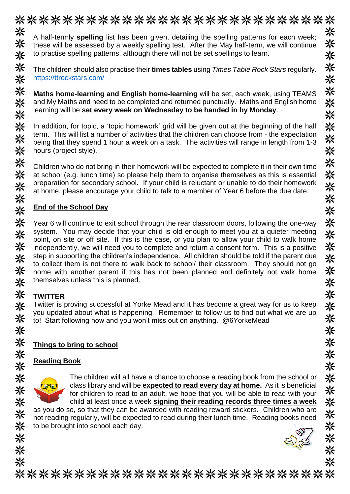

to practise spelling patterns, although there will not be set spellings to learn.

※ The children should also practise their **times tables** using *Times Table Rock Stars* regularly. ☀ <https://ttrockstars.com/>

**Maths home-learning and English home-learning** will be set, each week, using TEAMS and My Maths and need to be completed and returned punctually. Maths and English home learning will be **set every week on Wednesday to be handed in by Monday**.

In addition, for topic, a 'topic homework' grid will be given out at the beginning of the half term. This will list a number of activities that the children can choose from - the expectation being that they spend 1 hour a week on a task. The activities will range in length from 1-3 hours (project style).

Children who do not bring in their homework will be expected to complete it in their own time at school (e.g. lunch time) so please help them to organise themselves as this is essential preparation for secondary school. If your child is reluctant or unable to do their homework at home, please encourage your child to talk to a member of Year 6 before the due date.

#### **End of the School Day**

米米米米 Year 6 will continue to exit school through the rear classroom doors, following the one-way system. You may decide that your child is old enough to meet you at a quieter meeting point, on site or off site. If this is the case, or you plan to allow your child to walk home independently, we will need you to complete and return a consent form. This is a positive 米米米米 step in supporting the children's independence. All children should be told if the parent due to collect them is not there to walk back to school/ their classroom. They should not go home with another parent if this has not been planned and definitely not walk home themselves unless this is planned.

# 米米米米米 **TWITTER**

米

米米米

※

头头头

米米米米米米

Twitter is proving successful at Yorke Mead and it has become a great way for us to keep you updated about what is happening. Remember to follow us to find out what we are up to! Start following now and you won't miss out on anything. @6YorkeMead

# **Things to bring to school**

### **Reading Book**



The children will all have a chance to choose a reading book from the school or class library and will be **expected to read every day at home.** As it is beneficial for children to read to an adult, we hope that you will be able to read with your child at least once a week **signing their reading records three times a week**

as you do so, so that they can be awarded with reading reward stickers. Children who are not reading regularly, will be expected to read during their lunch time. Reading books need to be brought into school each day.



\*\*\*\*\*\*\*\*\*\*\*\*\* \*\*\*\*\*\*\*\*\*\*\*\*\*\*\*\*\*\*\*\*\*\*\*\*\*\*\*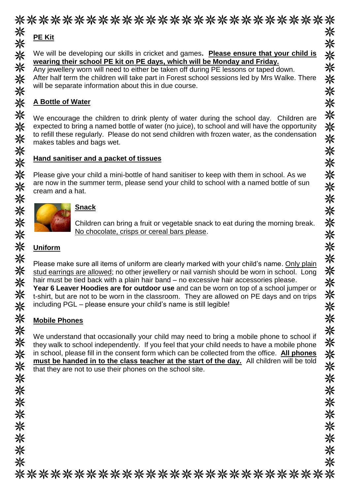#### \*\*\*\*\*\*\*\*\*\*\*\*\*\*\*\*\*\*\*\*\*\*\*\*\*\*\*\* 米米米 米 **PE Kit** 米 米 We will be developing our skills in cricket and games**. Please ensure that your child is**  米 **wearing their school PE kit on PE days, which will be Monday and Friday.** 米 米 Any jewellery worn will need to either be taken off during PE lessons or taped down. 关米米米 After half term the children will take part in Forest school sessions led by Mrs Walke. There 米 will be separate information about this in due course. 米 米 **A Bottle of Water** 米米米米米米 ※ We encourage the children to drink plenty of water during the school day. Children are 米 expected to bring a named bottle of water (no juice), to school and will have the opportunity to refill these regularly. Please do not send children with frozen water, as the condensation 米 makes tables and bags wet. 米 **Hand sanitiser and a packet of tissues** 米 \*\*\*\*\*\*\*\*\*\*\* 米 Please give your child a mini-bottle of hand sanitiser to keep with them in school. As we are now in the summer term, please send your child to school with a named bottle of sun 米 cream and a hat. ☀ ☀ **Snack** 米 Children can bring a fruit or vegetable snack to eat during the morning break. No chocolate, crisps or cereal bars please. 米 ☀ **Uniform** ※ Please make sure all items of uniform are clearly marked with your child's name. Only plain 米 stud earrings are allowed; no other jewellery or nail varnish should be worn in school. Long 米 hair must be tied back with a plain hair band – no excessive hair accessories please. **Year 6 Leaver Hoodies are for outdoor use** and can be worn on top of a school jumper or 米米米米 ☀ t-shirt, but are not to be worn in the classroom. They are allowed on PE days and on trips including PGL – please ensure your child's name is still legible! 米 米米米 **Mobile Phones** We understand that occasionally your child may need to bring a mobile phone to school if ※ 米 they walk to school independently. If you feel that your child needs to have a mobile phone ※ 米 in school, please fill in the consent form which can be collected from the office. **All phones must be handed in to the class teacher at the start of the day.** All children will be told 米 米 that they are not to use their phones on the school site.米 ☀ ※ 米 米米米米米米米 ⋇ ☀ ☀ 米 ☀ 米 \*\*\*\*\*\*\*\*\*\*\*\*\*\*\*\*\*\*\*\*\*\*\*\*\*\*\*